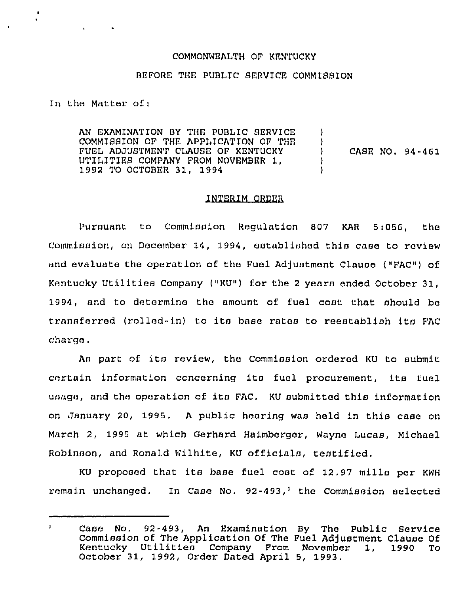## COMMONWEALTH OF KENTUCKY

## BEFORE THE PUBLIC SERVICE COMMISSION

In the Matter of <sup>i</sup>

AN EXAMINATION BY THE PUBLIC SERVICE COMMISSION OF THE APPLICATION OF THE FUEL ADJUSTMENT CLAUSE OF KENTUCKY UTILITIES COMPANY FROM NOVEMBER 1, <sup>1</sup> 992 TO OCTOBER 31, 1994 ) )<br>) ) CASE NO, 94-461 ) )

## INTERIM ORDEQ

Pursuant to Commission Regulation 807 KAR 5i056, the Commission, on December 14, 1994, established this case to review and evaluate the operation of the Fuel Adjustment Clause ("FAC") of Kentucky Utilities Company ("KU") for the 2 years ended October 31, 1994, and to determine the amount of fuel cost that should be transferred (rolled-in) to its base rates to reestablish its FAC charge.

As part of its review, the Commission ordered KU to submit certain information concerning its fuel procurement, its fuel usage, and the operation of its FAC. KU submitted this information on January 20, 1995. <sup>A</sup> public hearing was held in this case on March 2, 1995 at which Gerhard Haimbergar, Wayne Lucas, Michael Robinson, and Ronald Wilhite, KU officials, testified.

KU proposed that its base fuel cost of 12.97 mills per KWH remain unchanged. In Case No.  $92-493$ , the Commission selected

Case No, 92-493, An Examination By The Public Service  $\mathbf{I}$ Commission of The Application Of The Fuel Adjustment Clause Of Kentucky Utilities Company From November 1, 1990 To October 31, 1992, Order Dated April 5, 1993.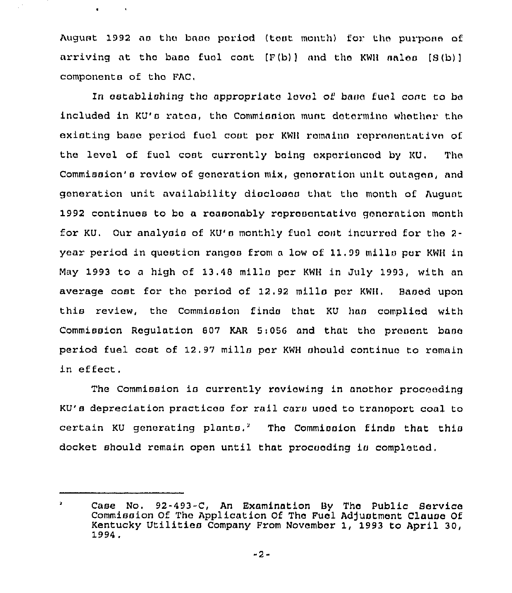August 1992 as the base period (test month) for the purpose of arriving at the base fuel cost  $(F(b))$  and the KWH sales  $(S(b))$ components of tho FAC,

 $\sim$  14

 $\blacksquare$ 

In establishing the appropriate level of base fuel cont to be included in KU's rates, the Commission must determine whether the existing baao period fuol coot por KWH remains roprnnontative of. the level of fuel cost currently being oxporicncad by KU. The Commission's review of generation mix, generation unit outages, and generation unit availability diacloooa that tho month of August 1992 continues to bo a reasonably roproaontativo gonoration month for KU. Our analysis of KU's monthly fuel coat incurred for the 2year period in question rangos from <sup>a</sup> low of. 11,99 mills por KWH in (4ay 1993 to a high of 13,48 mills por KWH in July 1993, with an average cost for tho period of 12.<sup>92</sup> mills por KWH. Baaed upon this review, the Commission finds that KU haa complied with Commission Regulation 807 KAR 5:056 and that the present base period fuel cost of 12. 97 mills por KWH should continuo to romain in effect.

The Commission is currently reviewing in another proceeding KU's depreciation practices for rail cars used to transport coal to certain KU generating plants.<sup>2</sup> The Commission finds that this docket should remain open until that procooding io completed.

 $\mathbf{z}$ Case No. 92-493-C, An Examination By The Public Service Commission Of The Application Of The Fuel Adjustment Clause Of Kentucky Utilities Company From November 1, 1993 to April 30,<br>1994.